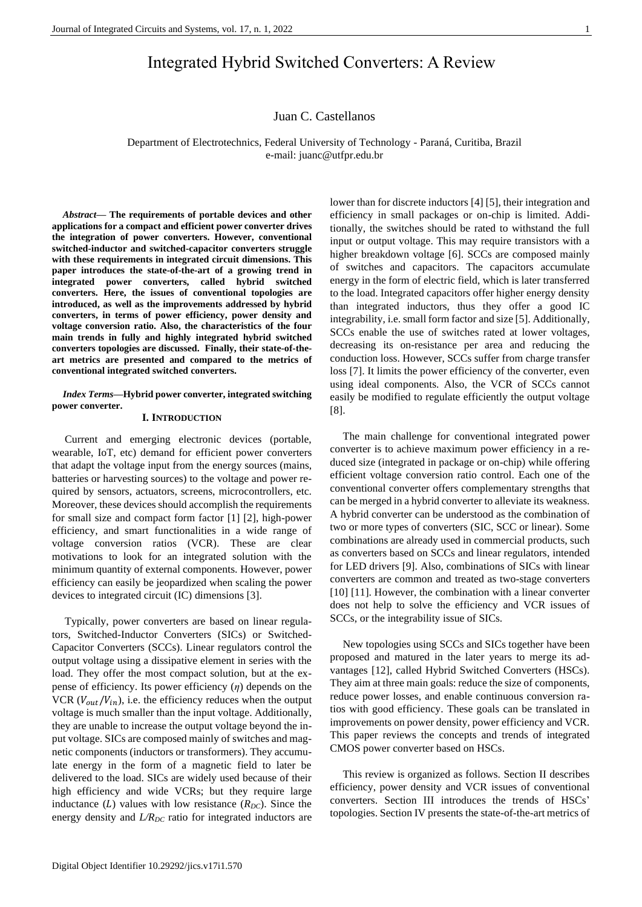# Integrated Hybrid Switched Converters: A Review

### Juan C. Castellanos

Department of Electrotechnics, Federal University of Technology - Paraná, Curitiba, Brazil e-mail: juanc@utfpr.edu.br

*Abstract***— The requirements of portable devices and other applications for a compact and efficient power converter drives the integration of power converters. However, conventional switched-inductor and switched-capacitor converters struggle with these requirements in integrated circuit dimensions. This paper introduces the state-of-the-art of a growing trend in integrated power converters, called hybrid switched converters. Here, the issues of conventional topologies are introduced, as well as the improvements addressed by hybrid converters, in terms of power efficiency, power density and voltage conversion ratio. Also, the characteristics of the four main trends in fully and highly integrated hybrid switched converters topologies are discussed. Finally, their state-of-theart metrics are presented and compared to the metrics of conventional integrated switched converters.**

#### *Index Terms***—Hybrid power converter, integrated switching power converter.**

### **I. INTRODUCTION**

Current and emerging electronic devices (portable, wearable, IoT, etc) demand for efficient power converters that adapt the voltage input from the energy sources (mains, batteries or harvesting sources) to the voltage and power required by sensors, actuators, screens, microcontrollers, etc. Moreover, these devices should accomplish the requirements for small size and compact form factor [1] [2], high-power efficiency, and smart functionalities in a wide range of voltage conversion ratios (VCR). These are clear motivations to look for an integrated solution with the minimum quantity of external components. However, power efficiency can easily be jeopardized when scaling the power devices to integrated circuit (IC) dimensions [3].

Typically, power converters are based on linear regulators, Switched-Inductor Converters (SICs) or Switched-Capacitor Converters (SCCs). Linear regulators control the output voltage using a dissipative element in series with the load. They offer the most compact solution, but at the expense of efficiency. Its power efficiency (*η*) depends on the VCR ( $V_{out}/V_{in}$ ), i.e. the efficiency reduces when the output voltage is much smaller than the input voltage. Additionally, they are unable to increase the output voltage beyond the input voltage. SICs are composed mainly of switches and magnetic components (inductors or transformers). They accumulate energy in the form of a magnetic field to later be delivered to the load. SICs are widely used because of their high efficiency and wide VCRs; but they require large inductance  $(L)$  values with low resistance  $(R_{DC})$ . Since the energy density and *L/R<sub>DC</sub>* ratio for integrated inductors are lower than for discrete inductors [4] [5], their integration and efficiency in small packages or on-chip is limited. Additionally, the switches should be rated to withstand the full input or output voltage. This may require transistors with a higher breakdown voltage [6]. SCCs are composed mainly of switches and capacitors. The capacitors accumulate energy in the form of electric field, which is later transferred to the load. Integrated capacitors offer higher energy density than integrated inductors, thus they offer a good IC integrability, i.e. small form factor and size [5]. Additionally, SCCs enable the use of switches rated at lower voltages, decreasing its on-resistance per area and reducing the conduction loss. However, SCCs suffer from charge transfer loss [7]. It limits the power efficiency of the converter, even using ideal components. Also, the VCR of SCCs cannot easily be modified to regulate efficiently the output voltage [8].

The main challenge for conventional integrated power converter is to achieve maximum power efficiency in a reduced size (integrated in package or on-chip) while offering efficient voltage conversion ratio control. Each one of the conventional converter offers complementary strengths that can be merged in a hybrid converter to alleviate its weakness. A hybrid converter can be understood as the combination of two or more types of converters (SIC, SCC or linear). Some combinations are already used in commercial products, such as converters based on SCCs and linear regulators, intended for LED drivers [9]. Also, combinations of SICs with linear converters are common and treated as two-stage converters [10] [11]. However, the combination with a linear converter does not help to solve the efficiency and VCR issues of SCCs, or the integrability issue of SICs.

New topologies using SCCs and SICs together have been proposed and matured in the later years to merge its advantages [12], called Hybrid Switched Converters (HSCs). They aim at three main goals: reduce the size of components, reduce power losses, and enable continuous conversion ratios with good efficiency. These goals can be translated in improvements on power density, power efficiency and VCR. This paper reviews the concepts and trends of integrated CMOS power converter based on HSCs.

This review is organized as follows. Section II describes efficiency, power density and VCR issues of conventional converters. Section III introduces the trends of HSCs' topologies. Section IV presents the state-of-the-art metrics of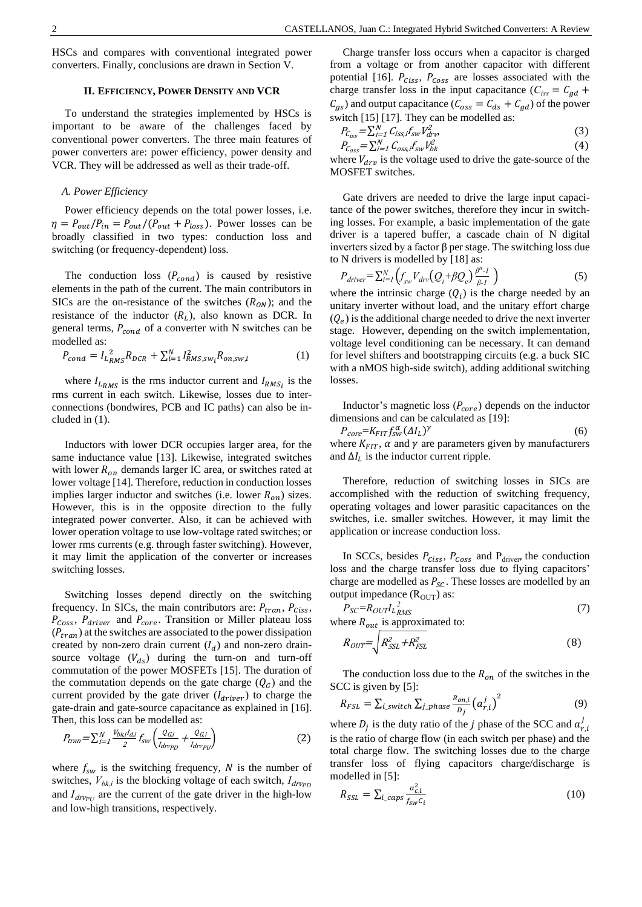HSCs and compares with conventional integrated power converters. Finally, conclusions are drawn in Section V.

#### **II. EFFICIENCY, POWER DENSITY AND VCR**

To understand the strategies implemented by HSCs is important to be aware of the challenges faced by conventional power converters. The three main features of power converters are: power efficiency, power density and VCR. They will be addressed as well as their trade-off.

#### *A. Power Efficiency*

Power efficiency depends on the total power losses, i.e.  $\eta = P_{out}/P_{in} = P_{out}/(P_{out} + P_{loss})$ . Power losses can be broadly classified in two types: conduction loss and switching (or frequency-dependent) loss.

The conduction loss  $(P_{cond})$  is caused by resistive elements in the path of the current. The main contributors in SICs are the on-resistance of the switches  $(R_{ON})$ ; and the resistance of the inductor  $(R_L)$ , also known as DCR. In general terms,  $P_{cond}$  of a converter with N switches can be modelled as:

$$
P_{cond} = I_{L_{RMS}}^2 R_{DCR} + \sum_{i=1}^{N} I_{RMS,sw_i}^2 R_{on,sw,i}
$$
 (1)

where  $I_{L_{RMS}}$  is the rms inductor current and  $I_{RMS_i}$  is the rms current in each switch. Likewise, losses due to interconnections (bondwires, PCB and IC paths) can also be included in (1).

Inductors with lower DCR occupies larger area, for the same inductance value [13]. Likewise, integrated switches with lower  $R_{on}$  demands larger IC area, or switches rated at lower voltage [14]. Therefore, reduction in conduction losses implies larger inductor and switches (i.e. lower  $R_{on}$ ) sizes. However, this is in the opposite direction to the fully integrated power converter. Also, it can be achieved with lower operation voltage to use low-voltage rated switches; or lower rms currents (e.g. through faster switching). However, it may limit the application of the converter or increases switching losses.

Switching losses depend directly on the switching frequency. In SICs, the main contributors are:  $P_{tran}$ ,  $P_{Ciss}$ ,  $P_{\text{Coss}}$ ,  $P_{\text{driver}}$  and  $P_{\text{core}}$ . Transition or Miller plateau loss  $(P_{tran})$  at the switches are associated to the power dissipation created by non-zero drain current  $(I_d)$  and non-zero drainsource voltage  $(V_{ds})$  during the turn-on and turn-off commutation of the power MOSFETs [15]. The duration of the commutation depends on the gate charge  $(Q_G)$  and the current provided by the gate driver  $(I_{\text{driver}})$  to charge the gate-drain and gate-source capacitance as explained in [16]. Then, this loss can be modelled as:

$$
P_{tran} = \sum_{i=1}^{N} \frac{V_{bk,i} I_{di}}{2} f_{sw} \left( \frac{Q_{G,i}}{I_{dropp}} + \frac{Q_{G,i}}{I_{dropp}} \right)
$$
 (2)

where  $f_{sw}$  is the switching frequency, N is the number of switches,  $V_{bk,i}$  is the blocking voltage of each switch,  $I_{drv_{PD}}$ and  $I_{drv_{PU}}$  are the current of the gate driver in the high-low and low-high transitions, respectively.

Charge transfer loss occurs when a capacitor is charged from a voltage or from another capacitor with different potential [16].  $P_{\text{Ciss}}$ ,  $P_{\text{Coss}}$  are losses associated with the charge transfer loss in the input capacitance ( $C_{iss} = C_{gd}$  +  $C_{gs}$ ) and output capacitance ( $C_{oss} = C_{ds} + C_{gd}$ ) of the power switch [15] [17]. They can be modelled as:

$$
P_{C_{ISS}} = \sum_{i=1}^{N} C_{iss,i} f_{sw} V_{drv}^2
$$
\n
$$
\tag{3}
$$

$$
P_{C_{OS}} = \sum_{i=1}^{N} C_{oss,i} f_{sw} V_{bk}^2
$$
\n
$$
\tag{4}
$$

where  $V_{\text{drv}}$  is the voltage used to drive the gate-source of the MOSFET switches.

Gate drivers are needed to drive the large input capacitance of the power switches, therefore they incur in switching losses. For example, a basic implementation of the gate driver is a tapered buffer, a cascade chain of N digital inverters sized by a factor β per stage. The switching loss due to N drivers is modelled by [18] as:

$$
P_{\text{driver}} = \sum_{i=1}^{N} \left( f_{\text{sw}} V_{\text{div}} \left( Q_i + \beta Q_e \right) \frac{\beta^{n} - I}{\beta - I} \right) \tag{5}
$$

where the intrinsic charge  $(Q_i)$  is the charge needed by an unitary inverter without load, and the unitary effort charge  $(Q_e)$  is the additional charge needed to drive the next inverter stage. However, depending on the switch implementation, voltage level conditioning can be necessary. It can demand for level shifters and bootstrapping circuits (e.g. a buck SIC with a nMOS high-side switch), adding additional switching losses.

Inductor's magnetic loss  $(P_{core})$  depends on the inductor dimensions and can be calculated as [19]:

 $P_{core} = K_{FIT} f_{sw}^{\alpha} (\Delta I_L)^{\gamma}$ (6) where  $K_{FIT}$ ,  $\alpha$  and  $\gamma$  are parameters given by manufacturers and  $\Delta I_L$  is the inductor current ripple.

Therefore, reduction of switching losses in SICs are accomplished with the reduction of switching frequency, operating voltages and lower parasitic capacitances on the switches, i.e. smaller switches. However, it may limit the application or increase conduction loss.

In SCCs, besides  $P_{\text{Ciss}}$ ,  $P_{\text{Coss}}$  and  $P_{\text{driver}}$ , the conduction loss and the charge transfer loss due to flying capacitors' charge are modelled as  $P_{SC}$ . These losses are modelled by an output impedance  $(R_{\text{OUT}})$  as:

$$
P_{SC} = R_{OUT} I_{RMS}^2
$$
\n<sup>(7)</sup>\nwhere  $R$  is approximated to:

where  $\kappa_{out}$  is approximated to:

$$
R_{OUT} = \sqrt{R_{SSL}^2 + R_{FSL}^2} \tag{8}
$$

The conduction loss due to the  $R_{on}$  of the switches in the SCC is given by [5]:

$$
R_{FSL} = \sum_{i\_switch} \sum_{j\_phase} \frac{R_{on,i}}{D_j} \left(a_{r,i}^j\right)^2 \tag{9}
$$

where  $D_j$  is the duty ratio of the *j* phase of the SCC and  $a_{r,i}^j$ is the ratio of charge flow (in each switch per phase) and the total charge flow. The switching losses due to the charge transfer loss of flying capacitors charge/discharge is modelled in [5]:

$$
R_{SSL} = \sum_{i\_caps} \frac{a_{c,i}^2}{f_{sw}c_i}
$$
 (10)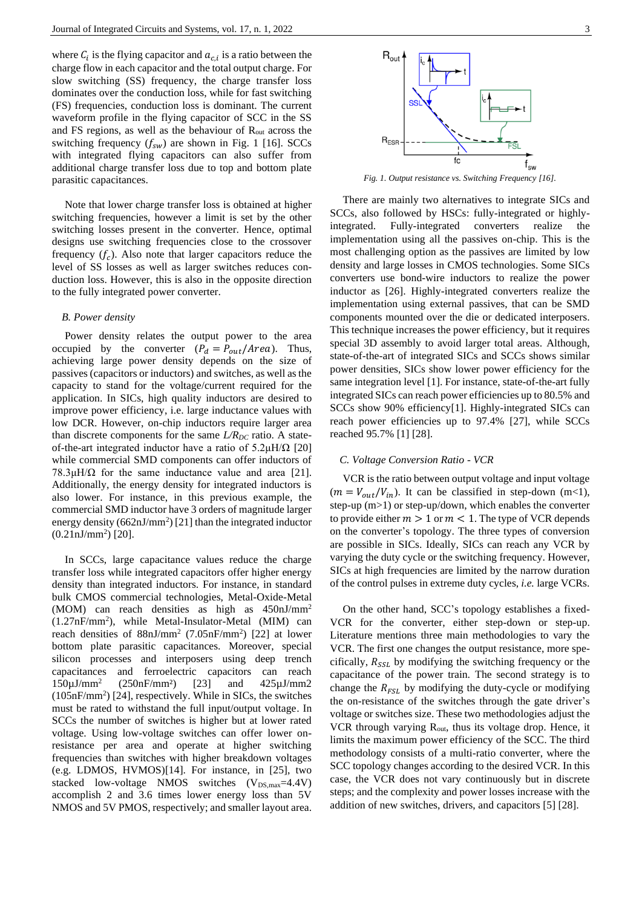where  $C_i$  is the flying capacitor and  $a_{c,i}$  is a ratio between the charge flow in each capacitor and the total output charge. For slow switching (SS) frequency, the charge transfer loss dominates over the conduction loss, while for fast switching (FS) frequencies, conduction loss is dominant. The current waveform profile in the flying capacitor of SCC in the SS and FS regions, as well as the behaviour of Rout across the switching frequency  $(f_{sw})$  are shown in Fig. 1 [16]. SCCs with integrated flying capacitors can also suffer from additional charge transfer loss due to top and bottom plate parasitic capacitances.

Note that lower charge transfer loss is obtained at higher switching frequencies, however a limit is set by the other switching losses present in the converter. Hence, optimal designs use switching frequencies close to the crossover frequency  $(f_c)$ . Also note that larger capacitors reduce the level of SS losses as well as larger switches reduces conduction loss. However, this is also in the opposite direction to the fully integrated power converter.

#### *B. Power density*

Power density relates the output power to the area occupied by the converter  $(P_d = P_{out}/Area)$ . Thus, achieving large power density depends on the size of passives (capacitors or inductors) and switches, as well as the capacity to stand for the voltage/current required for the application. In SICs, high quality inductors are desired to improve power efficiency, i.e. large inductance values with low DCR. However, on-chip inductors require larger area than discrete components for the same  $L/R_{DC}$  ratio. A stateof-the-art integrated inductor have a ratio of  $5.2\mu\text{H}/\Omega$  [20] while commercial SMD components can offer inductors of  $78.3\mu\text{H}/\Omega$  for the same inductance value and area [21]. Additionally, the energy density for integrated inductors is also lower. For instance, in this previous example, the commercial SMD inductor have 3 orders of magnitude larger energy density  $(662nJ/mm<sup>2</sup>)$  [21] than the integrated inductor  $(0.21 \text{nJ/mm}^2)$  [20].

In SCCs, large capacitance values reduce the charge transfer loss while integrated capacitors offer higher energy density than integrated inductors. For instance, in standard bulk CMOS commercial technologies, Metal-Oxide-Metal (MOM) can reach densities as high as 450nJ/mm<sup>2</sup> (1.27nF/mm<sup>2</sup> ), while Metal-Insulator-Metal (MIM) can reach densities of  $88nJ/mm^2$  (7.05nF/mm<sup>2</sup>) [22] at lower bottom plate parasitic capacitances. Moreover, special silicon processes and interposers using deep trench capacitances and ferroelectric capacitors can reach  $150 \mu J/mm^2$ (250nF/mm²) [23] and 425µJ/mm2 (105nF/mm<sup>2</sup> ) [24], respectively. While in SICs, the switches must be rated to withstand the full input/output voltage. In SCCs the number of switches is higher but at lower rated voltage. Using low-voltage switches can offer lower onresistance per area and operate at higher switching frequencies than switches with higher breakdown voltages (e.g. LDMOS, HVMOS)[14]. For instance, in [25], two stacked low-voltage NMOS switches  $(V_{DS,max}=4.4V)$ accomplish 2 and 3.6 times lower energy loss than 5V NMOS and 5V PMOS, respectively; and smaller layout area.



*Fig. 1. Output resistance vs. Switching Frequency [16].*

There are mainly two alternatives to integrate SICs and SCCs, also followed by HSCs: fully-integrated or highlyintegrated. Fully-integrated converters realize the implementation using all the passives on-chip. This is the most challenging option as the passives are limited by low density and large losses in CMOS technologies. Some SICs converters use bond-wire inductors to realize the power inductor as [26]. Highly-integrated converters realize the implementation using external passives, that can be SMD components mounted over the die or dedicated interposers. This technique increases the power efficiency, but it requires special 3D assembly to avoid larger total areas. Although, state-of-the-art of integrated SICs and SCCs shows similar power densities, SICs show lower power efficiency for the same integration level [1]. For instance, state-of-the-art fully integrated SICs can reach power efficiencies up to 80.5% and SCCs show 90% efficiency[1]. Highly-integrated SICs can reach power efficiencies up to 97.4% [27], while SCCs reached 95.7% [1] [28].

#### *C. Voltage Conversion Ratio - VCR*

VCR is the ratio between output voltage and input voltage  $(m = V_{out}/V_{in})$ . It can be classified in step-down (m<1), step-up (m>1) or step-up/down, which enables the converter to provide either  $m > 1$  or  $m < 1$ . The type of VCR depends on the converter's topology. The three types of conversion are possible in SICs. Ideally, SICs can reach any VCR by varying the duty cycle or the switching frequency. However, SICs at high frequencies are limited by the narrow duration of the control pulses in extreme duty cycles, *i.e.* large VCRs.

On the other hand, SCC's topology establishes a fixed-VCR for the converter, either step-down or step-up. Literature mentions three main methodologies to vary the VCR. The first one changes the output resistance, more specifically,  $R_{\text{SSL}}$  by modifying the switching frequency or the capacitance of the power train. The second strategy is to change the  $R_{FSL}$  by modifying the duty-cycle or modifying the on-resistance of the switches through the gate driver's voltage or switches size. These two methodologies adjust the VCR through varying  $R_{out}$ , thus its voltage drop. Hence, it limits the maximum power efficiency of the SCC. The third methodology consists of a multi-ratio converter, where the SCC topology changes according to the desired VCR. In this case, the VCR does not vary continuously but in discrete steps; and the complexity and power losses increase with the addition of new switches, drivers, and capacitors [5] [28].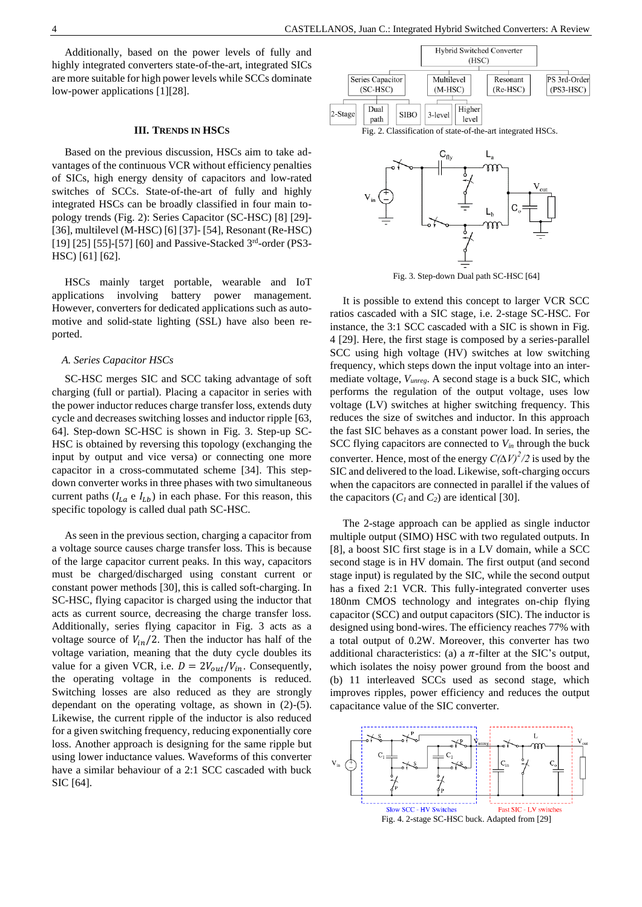Additionally, based on the power levels of fully and highly integrated converters state-of-the-art, integrated SICs are more suitable for high power levels while SCCs dominate low-power applications [1][28].

#### **III. TRENDS IN HSCS**

Based on the previous discussion, HSCs aim to take advantages of the continuous VCR without efficiency penalties of SICs, high energy density of capacitors and low-rated switches of SCCs. State-of-the-art of fully and highly integrated HSCs can be broadly classified in four main topology trends (Fig. 2): Series Capacitor (SC-HSC) [8] [29]- [36], multilevel (M-HSC) [6] [37]- [54], Resonant (Re-HSC) [19] [25] [55]-[57] [60] and Passive-Stacked  $3<sup>rd</sup>$ -order (PS3-HSC) [61] [62].

HSCs mainly target portable, wearable and IoT applications involving battery power management. However, converters for dedicated applications such as automotive and solid-state lighting (SSL) have also been reported.

#### *A. Series Capacitor HSCs*

SC-HSC merges SIC and SCC taking advantage of soft charging (full or partial). Placing a capacitor in series with the power inductor reduces charge transfer loss, extends duty cycle and decreases switching losses and inductor ripple [63, 64]. Step-down SC-HSC is shown in Fig. 3. Step-up SC-HSC is obtained by reversing this topology (exchanging the input by output and vice versa) or connecting one more capacitor in a cross-commutated scheme [34]. This stepdown converter works in three phases with two simultaneous current paths ( $I_{La}$  e  $I_{Lb}$ ) in each phase. For this reason, this specific topology is called dual path SC-HSC.

As seen in the previous section, charging a capacitor from a voltage source causes charge transfer loss. This is because of the large capacitor current peaks. In this way, capacitors must be charged/discharged using constant current or constant power methods [30], this is called soft-charging. In SC-HSC, flying capacitor is charged using the inductor that acts as current source, decreasing the charge transfer loss. Additionally, series flying capacitor in Fig. 3 acts as a voltage source of  $V_{in}/2$ . Then the inductor has half of the voltage variation, meaning that the duty cycle doubles its value for a given VCR, i.e.  $D = 2V_{out}/V_{in}$ . Consequently, the operating voltage in the components is reduced. Switching losses are also reduced as they are strongly dependant on the operating voltage, as shown in (2)-(5). Likewise, the current ripple of the inductor is also reduced for a given switching frequency, reducing exponentially core loss. Another approach is designing for the same ripple but using lower inductance values. Waveforms of this converter have a similar behaviour of a 2:1 SCC cascaded with buck SIC [64].





Fig. 3. Step-down Dual path SC-HSC [64]

It is possible to extend this concept to larger VCR SCC ratios cascaded with a SIC stage, i.e. 2-stage SC-HSC. For instance, the 3:1 SCC cascaded with a SIC is shown in [Fig.](#page-3-0)  [4](#page-3-0) [29]. Here, the first stage is composed by a series-parallel SCC using high voltage (HV) switches at low switching frequency, which steps down the input voltage into an intermediate voltage, *Vunreg*. A second stage is a buck SIC, which performs the regulation of the output voltage, uses low voltage (LV) switches at higher switching frequency. This reduces the size of switches and inductor. In this approach the fast SIC behaves as a constant power load. In series, the SCC flying capacitors are connected to  $V_{in}$  through the buck converter. Hence, most of the energy  $C(\Delta V)^2/2$  is used by the SIC and delivered to the load. Likewise, soft-charging occurs when the capacitors are connected in parallel if the values of the capacitors  $(C_I \text{ and } C_2)$  are identical [30].

The 2-stage approach can be applied as single inductor multiple output (SIMO) HSC with two regulated outputs. In [8], a boost SIC first stage is in a LV domain, while a SCC second stage is in HV domain. The first output (and second stage input) is regulated by the SIC, while the second output has a fixed 2:1 VCR. This fully-integrated converter uses 180nm CMOS technology and integrates on-chip flying capacitor (SCC) and output capacitors (SIC). The inductor is designed using bond-wires. The efficiency reaches 77% with a total output of 0.2W. Moreover, this converter has two additional characteristics: (a) a  $\pi$ -filter at the SIC's output, which isolates the noisy power ground from the boost and (b) 11 interleaved SCCs used as second stage, which improves ripples, power efficiency and reduces the output capacitance value of the SIC converter.

<span id="page-3-0"></span>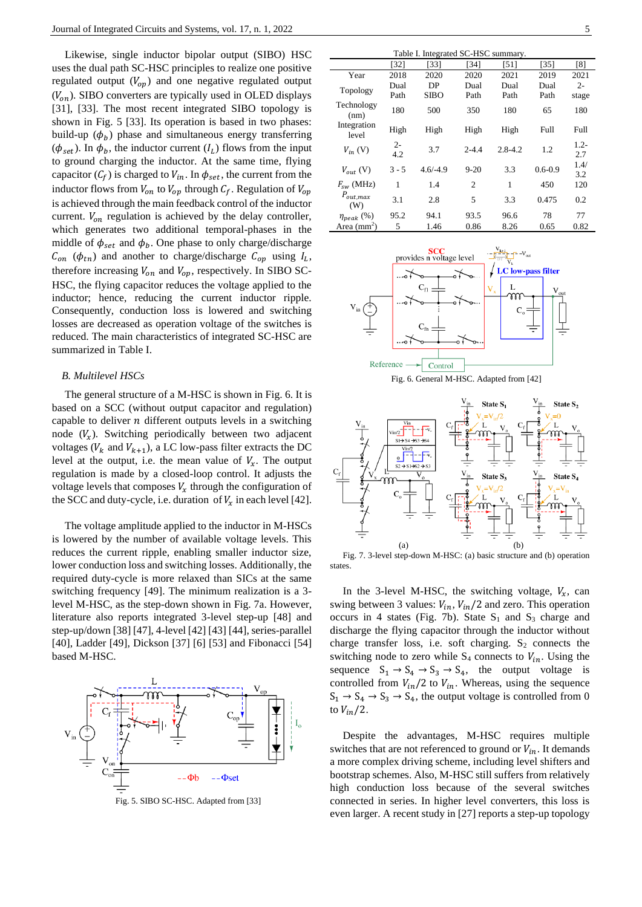Likewise, single inductor bipolar output (SIBO) HSC uses the dual path SC-HSC principles to realize one positive regulated output  $(V_{op})$  and one negative regulated output  $(V_{on})$ . SIBO converters are typically used in OLED displays [31], [33]. The most recent integrated SIBO topology is shown in [Fig. 5](#page-4-0) [33]. Its operation is based in two phases: build-up  $(\phi_b)$  phase and simultaneous energy transferring  $(\phi_{set})$ . In  $\phi_b$ , the inductor current  $(I_L)$  flows from the input to ground charging the inductor. At the same time, flying capacitor  $(C_f)$  is charged to  $V_{in}$ . In  $\phi_{set}$ , the current from the inductor flows from  $V_{on}$  to  $V_{op}$  through  $C_f$ . Regulation of  $V_{op}$ is achieved through the main feedback control of the inductor current.  $V_{on}$  regulation is achieved by the delay controller, which generates two additional temporal-phases in the middle of  $\phi_{set}$  and  $\phi_b$ . One phase to only charge/discharge  $C_{on}$  ( $\phi_{tn}$ ) and another to charge/discharge  $C_{op}$  using  $I_L$ , therefore increasing  $V_{on}$  and  $V_{op}$ , respectively. In SIBO SC-HSC, the flying capacitor reduces the voltage applied to the inductor; hence, reducing the current inductor ripple. Consequently, conduction loss is lowered and switching losses are decreased as operation voltage of the switches is reduced. The main characteristics of integrated SC-HSC are summarized in [Table I.](#page-4-1)

#### *B. Multilevel HSCs*

The general structure of a M-HSC is shown in [Fig. 6.](#page-4-2) It is based on a SCC (without output capacitor and regulation) capable to deliver  $n$  different outputs levels in a switching node  $(V_x)$ . Switching periodically between two adjacent voltages ( $V_k$  and  $V_{k+1}$ ), a LC low-pass filter extracts the DC level at the output, i.e. the mean value of  $V_x$ . The output regulation is made by a closed-loop control. It adjusts the voltage levels that composes  $V_x$  through the configuration of the SCC and duty-cycle, i.e. duration of  $V_x$  in each level [42].

The voltage amplitude applied to the inductor in M-HSCs is lowered by the number of available voltage levels. This reduces the current ripple, enabling smaller inductor size, lower conduction loss and switching losses. Additionally, the required duty-cycle is more relaxed than SICs at the same switching frequency [49]. The minimum realization is a 3 level M-HSC, as the step-down shown in [Fig. 7a](#page-4-3). However, literature also reports integrated 3-level step-up [48] and step-up/down [38] [47], 4-level [42] [43] [44], series-parallel [40], Ladder [49], Dickson [37] [6] [53] and Fibonacci [54] based M-HSC.



<span id="page-4-0"></span>Fig. 5. SIBO SC-HSC. Adapted from [33]

<span id="page-4-1"></span>

| Table I. Integrated SC-HSC summary. |              |            |           |             |             |                |
|-------------------------------------|--------------|------------|-----------|-------------|-------------|----------------|
|                                     | [32]         | [33]       | [34]      | [51]        | [35]        | [8]            |
| Year                                | 2018         | 2020       | 2020      | 2021        | 2019        | 2021           |
| Topology                            | Dual         | DP         | Dual      | Dual        | Dual        | $2 -$          |
|                                     | Path         | SIBO       | Path      | Path        | Path        | stage          |
| Technology<br>(nm)                  | 180          | 500        | 350       | 180         | 65          | 180            |
| Integration<br>level                | High         | High       | High      | High        | Full        | Full           |
| $V_{in}$ (V)                        | $2 -$<br>4.2 | 3.7        | $2 - 4.4$ | $2.8 - 4.2$ | 1.2         | $1.2 -$<br>2.7 |
| $V_{out}$ (V)                       | $3 - 5$      | $4.6/-4.9$ | $9 - 20$  | 3.3         | $0.6 - 0.9$ | 1.4/<br>3.2    |
| $F_{sw}$ (MHz)                      | 1            | 1.4        | 2         | 1           | 450         | 120            |
| $P_{out,max}$<br>(W)                | 3.1          | 2.8        | 5         | 3.3         | 0.475       | 0.2            |
| $\eta_{peak}$ (%)                   | 95.2         | 94.1       | 93.5      | 96.6        | 78          | 77             |
| Area $(mm2)$                        | 5            | 1.46       | 0.86      | 8.26        | 0.65        | 0.82           |



Fig. 6. General M-HSC. Adapted from [42]

<span id="page-4-2"></span>

<span id="page-4-3"></span>Fig. 7. 3-level step-down M-HSC: (a) basic structure and (b) operation states.

In the 3-level M-HSC, the switching voltage,  $V_x$ , can swing between 3 values:  $V_{in}$ ,  $V_{in}/2$  and zero. This operation occurs in 4 states [\(Fig. 7b](#page-4-3)). State  $S_1$  and  $S_3$  charge and discharge the flying capacitor through the inductor without charge transfer loss, i.e. soft charging.  $S_2$  connects the switching node to zero while  $S_4$  connects to  $V_{in}$ . Using the sequence  $S_1 \rightarrow S_4 \rightarrow S_3 \rightarrow S_4$ , the output voltage is controlled from  $V_{in}/2$  to  $V_{in}$ . Whereas, using the sequence  $S_1 \rightarrow S_4 \rightarrow S_3 \rightarrow S_4$ , the output voltage is controlled from 0 to  $V_{in}/2$ .

Despite the advantages, M-HSC requires multiple switches that are not referenced to ground or  $V_{in}$ . It demands a more complex driving scheme, including level shifters and bootstrap schemes. Also, M-HSC still suffers from relatively high conduction loss because of the several switches connected in series. In higher level converters, this loss is even larger. A recent study in [27] reports a step-up topology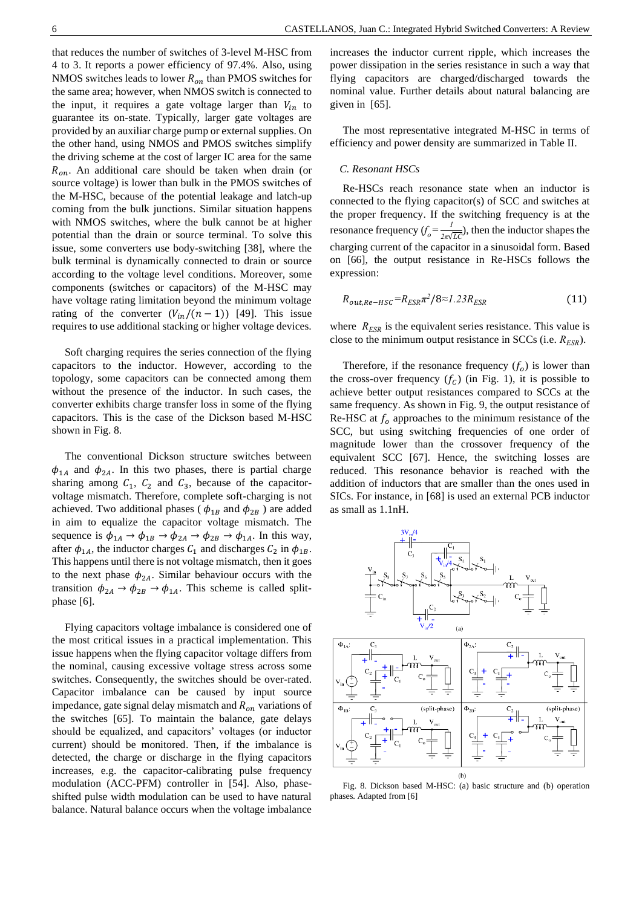that reduces the number of switches of 3-level M-HSC from 4 to 3. It reports a power efficiency of 97.4%. Also, using NMOS switches leads to lower  $R_{on}$  than PMOS switches for the same area; however, when NMOS switch is connected to the input, it requires a gate voltage larger than  $V_{in}$  to guarantee its on-state. Typically, larger gate voltages are provided by an auxiliar charge pump or external supplies. On the other hand, using NMOS and PMOS switches simplify the driving scheme at the cost of larger IC area for the same  $R_{on}$ . An additional care should be taken when drain (or source voltage) is lower than bulk in the PMOS switches of the M-HSC, because of the potential leakage and latch-up coming from the bulk junctions. Similar situation happens with NMOS switches, where the bulk cannot be at higher potential than the drain or source terminal. To solve this issue, some converters use body-switching [38], where the bulk terminal is dynamically connected to drain or source according to the voltage level conditions. Moreover, some components (switches or capacitors) of the M-HSC may have voltage rating limitation beyond the minimum voltage rating of the converter  $(V_{in}/(n-1))$  [49]. This issue requires to use additional stacking or higher voltage devices.

Soft charging requires the series connection of the flying capacitors to the inductor. However, according to the topology, some capacitors can be connected among them without the presence of the inductor. In such cases, the converter exhibits charge transfer loss in some of the flying capacitors. This is the case of the Dickson based M-HSC shown in Fig. 8.

The conventional Dickson structure switches between  $\phi_{1A}$  and  $\phi_{2A}$ . In this two phases, there is partial charge sharing among  $C_1$ ,  $C_2$  and  $C_3$ , because of the capacitorvoltage mismatch. Therefore, complete soft-charging is not achieved. Two additional phases ( $\phi_{1B}$  and  $\phi_{2B}$ ) are added in aim to equalize the capacitor voltage mismatch. The sequence is  $\phi_{1A} \rightarrow \phi_{1B} \rightarrow \phi_{2A} \rightarrow \phi_{2B} \rightarrow \phi_{1A}$ . In this way, after  $\phi_{1A}$ , the inductor charges  $C_1$  and discharges  $C_2$  in  $\phi_{1B}$ . This happens until there is not voltage mismatch, then it goes to the next phase  $\phi_{2A}$ . Similar behaviour occurs with the transition  $\phi_{2A} \rightarrow \phi_{2B} \rightarrow \phi_{1A}$ . This scheme is called splitphase [6].

Flying capacitors voltage imbalance is considered one of the most critical issues in a practical implementation. This issue happens when the flying capacitor voltage differs from the nominal, causing excessive voltage stress across some switches. Consequently, the switches should be over-rated. Capacitor imbalance can be caused by input source impedance, gate signal delay mismatch and  $R_{on}$  variations of the switches [65]. To maintain the balance, gate delays should be equalized, and capacitors' voltages (or inductor current) should be monitored. Then, if the imbalance is detected, the charge or discharge in the flying capacitors increases, e.g. the capacitor-calibrating pulse frequency modulation (ACC-PFM) controller in [54]. Also, phaseshifted pulse width modulation can be used to have natural balance. Natural balance occurs when the voltage imbalance

increases the inductor current ripple, which increases the power dissipation in the series resistance in such a way that flying capacitors are charged/discharged towards the nominal value. Further details about natural balancing are given in [65].

The most representative integrated M-HSC in terms of efficiency and power density are summarized in Table II.

#### *C. Resonant HSCs*

Re-HSCs reach resonance state when an inductor is connected to the flying capacitor(s) of SCC and switches at the proper frequency. If the switching frequency is at the resonance frequency  $(f_o = \frac{1}{2\pi\sqrt{g}})$  $\frac{1}{2\pi\sqrt{LC}}$ , then the inductor shapes the charging current of the capacitor in a sinusoidal form. Based on [66], the output resistance in Re-HSCs follows the expression:

$$
R_{out,Re-HSC} = R_{ESR}\pi^2/8 \approx 1.23 R_{ESR}
$$
 (11)

where  $R_{ESR}$  is the equivalent series resistance. This value is close to the minimum output resistance in SCCs (i.e. *RESR*).

Therefore, if the resonance frequency  $(f_o)$  is lower than the cross-over frequency  $(f_c)$  (in Fig. 1), it is possible to achieve better output resistances compared to SCCs at the same frequency. As shown in Fig. 9, the output resistance of Re-HSC at  $f_0$  approaches to the minimum resistance of the SCC, but using switching frequencies of one order of magnitude lower than the crossover frequency of the equivalent SCC [67]. Hence, the switching losses are reduced. This resonance behavior is reached with the addition of inductors that are smaller than the ones used in SICs. For instance, in [68] is used an external PCB inductor as small as 1.1nH.



Fig. 8. Dickson based M-HSC: (a) basic structure and (b) operation phases. Adapted from [6]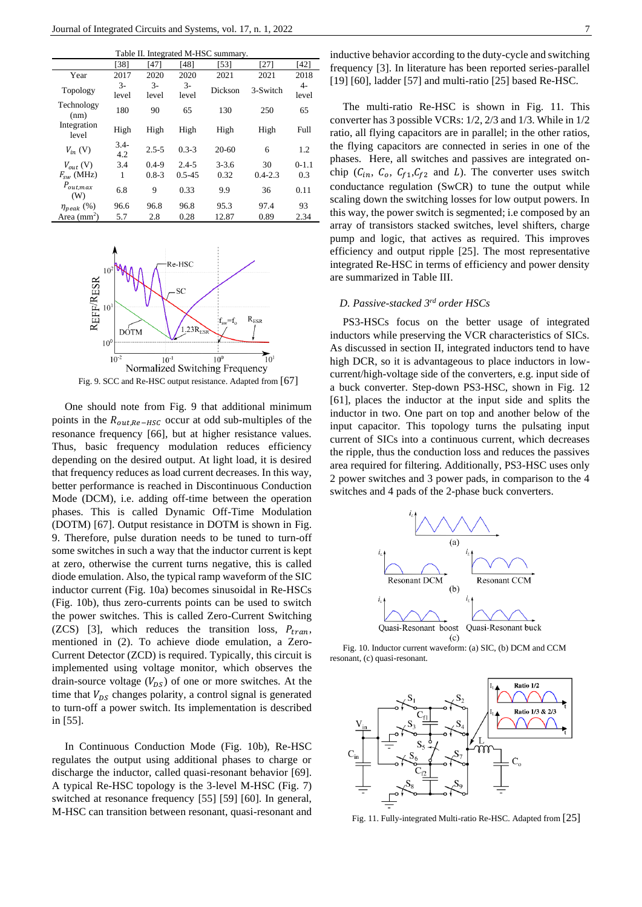| Table II. Integrated M-HSC summary. |               |                                      |               |           |             |             |
|-------------------------------------|---------------|--------------------------------------|---------------|-----------|-------------|-------------|
|                                     | [38]          | '471                                 | [48]          | [53]      | [27]        | [42]        |
| Year                                | 2017          | 2020                                 | 2020          | 2021      | 2021        | 2018        |
| Topology                            | $3-$<br>level | $\mathcal{F}_{\mathcal{F}}$<br>level | $3-$<br>level | Dickson   | 3-Switch    | 4-<br>level |
| Technology<br>(nm)                  | 180           | 90                                   | 65            | 130       | 250         | 65          |
| Integration<br>level                | High          | High                                 | High          | High      | High        | Full        |
| $V_{in}$ (V)                        | $3.4-$<br>4.2 | $2.5 - 5$                            | $0.3 - 3$     | $20 - 60$ | 6           | 1.2         |
| $V_{out}$ (V)                       | 3.4           | $0.4 - 9$                            | $2.4 - 5$     | $3 - 3.6$ | 30          | $0 - 1.1$   |
| $F_{sw}$ (MHz)                      | 1             | $0.8 - 3$                            | $0.5 - 4.5$   | 0.32      | $0.4 - 2.3$ | 0.3         |
| $P_{out,max}$<br>(W)                | 6.8           | 9                                    | 0.33          | 9.9       | 36          | 0.11        |
| $\eta_{peak}$ (%)                   | 96.6          | 96.8                                 | 96.8          | 95.3      | 97.4        | 93          |
| Area $(mm2)$                        | 5.7           | 2.8                                  | 0.28          | 12.87     | 0.89        | 2.34        |



One should note from Fig. 9 that additional minimum points in the  $R_{out,Re-HSC}$  occur at odd sub-multiples of the resonance frequency [66], but at higher resistance values. Thus, basic frequency modulation reduces efficiency depending on the desired output. At light load, it is desired that frequency reduces as load current decreases. In this way, better performance is reached in Discontinuous Conduction Mode (DCM), i.e. adding off-time between the operation phases. This is called Dynamic Off-Time Modulation (DOTM) [67]. Output resistance in DOTM is shown in Fig. 9. Therefore, pulse duration needs to be tuned to turn-off some switches in such a way that the inductor current is kept at zero, otherwise the current turns negative, this is called diode emulation. Also, the typical ramp waveform of the SIC inductor current (Fig. 10a) becomes sinusoidal in Re-HSCs (Fig. 10b), thus zero-currents points can be used to switch the power switches. This is called Zero-Current Switching (ZCS) [3], which reduces the transition loss,  $P_{tran}$ , mentioned in (2). To achieve diode emulation, a Zero-Current Detector (ZCD) is required. Typically, this circuit is implemented using voltage monitor, which observes the drain-source voltage  $(V_{DS})$  of one or more switches. At the time that  $V_{DS}$  changes polarity, a control signal is generated to turn-off a power switch. Its implementation is described in [55].

In Continuous Conduction Mode (Fig. 10b), Re-HSC regulates the output using additional phases to charge or discharge the inductor, called quasi-resonant behavior [69]. A typical Re-HSC topology is the 3-level M-HSC (Fig. 7) switched at resonance frequency [55] [59] [60]. In general, M-HSC can transition between resonant, quasi-resonant and inductive behavior according to the duty-cycle and switching frequency [3]. In literature has been reported series-parallel [19] [60], ladder [57] and multi-ratio [25] based Re-HSC.

The multi-ratio Re-HSC is shown in Fig. 11. This converter has 3 possible VCRs: 1/2, 2/3 and 1/3. While in 1/2 ratio, all flying capacitors are in parallel; in the other ratios, the flying capacitors are connected in series in one of the phases. Here, all switches and passives are integrated onchip  $(C_{in}, C_o, C_{f1}, C_{f2}$  and L). The converter uses switch conductance regulation (SwCR) to tune the output while scaling down the switching losses for low output powers. In this way, the power switch is segmented; i.e composed by an array of transistors stacked switches, level shifters, charge pump and logic, that actives as required. This improves efficiency and output ripple [25]. The most representative integrated Re-HSC in terms of efficiency and power density are summarized in Table III.

## *D. Passive-stacked 3rd order HSCs*

PS3-HSCs focus on the better usage of integrated inductors while preserving the VCR characteristics of SICs. As discussed in section II, integrated inductors tend to have high DCR, so it is advantageous to place inductors in lowcurrent/high-voltage side of the converters, e.g. input side of a buck converter. Step-down PS3-HSC, shown in Fig. 12 [61], places the inductor at the input side and splits the inductor in two. One part on top and another below of the input capacitor. This topology turns the pulsating input current of SICs into a continuous current, which decreases the ripple, thus the conduction loss and reduces the passives area required for filtering. Additionally, PS3-HSC uses only 2 power switches and 3 power pads, in comparison to the 4 switches and 4 pads of the 2-phase buck converters.



Fig. 10. Inductor current waveform: (a) SIC, (b) DCM and CCM resonant, (c) quasi-resonant.



Fig. 11. Fully-integrated Multi-ratio Re-HSC. Adapted from [25]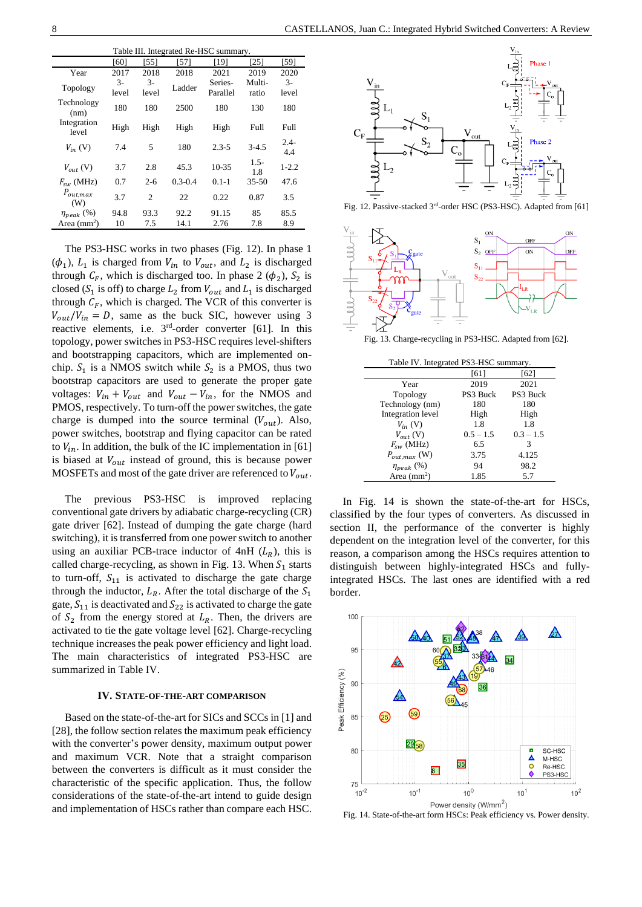| Table III. Integrated Re-HSC summary. |               |                |             |                     |                 |                |
|---------------------------------------|---------------|----------------|-------------|---------------------|-----------------|----------------|
|                                       | [60]          | [55]           | [57]        | [19]                | [25]            | [59]           |
| Year                                  | 2017          | 2018           | 2018        | 2021                | 2019            | 2020           |
| Topology                              | $3-$<br>level | $3-$<br>level  | Ladder      | Series-<br>Parallel | Multi-<br>ratio | $3-$<br>level  |
| Technology<br>(nm)                    | 180           | 180            | 2500        | 180                 | 130             | 180            |
| Integration<br>level                  | High          | High           | High        | High                | Full            | Full           |
| $V_{in}$ (V)                          | 7.4           | 5              | 180         | $2.3 - 5$           | $3-4.5$         | $2.4 -$<br>4.4 |
| $V_{out}$ (V)                         | 3.7           | 2.8            | 45.3        | $10 - 35$           | $1.5-$<br>1.8   | $1 - 2.2$      |
| $F_{sw}$ (MHz)                        | 0.7           | $2 - 6$        | $0.3 - 0.4$ | $0.1 - 1$           | $35 - 50$       | 47.6           |
| $P_{out,max}$<br>(W)                  | 3.7           | $\overline{c}$ | 22          | 0.22                | 0.87            | 3.5            |
| $\eta_{peak}$ (%)                     | 94.8          | 93.3           | 92.2        | 91.15               | 85              | 85.5           |
| Area $(mm2)$                          | 10            | 7.5            | 14.1        | 2.76                | 7.8             | 8.9            |

The PS3-HSC works in two phases (Fig. 12). In phase 1  $(\phi_1)$ ,  $L_1$  is charged from  $V_{in}$  to  $V_{out}$ , and  $L_2$  is discharged through  $C_F$ , which is discharged too. In phase 2 ( $\phi_2$ ),  $S_2$  is closed ( $S_1$  is off) to charge  $L_2$  from  $V_{out}$  and  $L_1$  is discharged through  $C_F$ , which is charged. The VCR of this converter is  $V_{out}/V_{in} = D$ , same as the buck SIC, however using 3 reactive elements, i.e.  $3<sup>rd</sup>$ -order converter [61]. In this topology, power switches in PS3-HSC requires level-shifters and bootstrapping capacitors, which are implemented onchip.  $S_1$  is a NMOS switch while  $S_2$  is a PMOS, thus two bootstrap capacitors are used to generate the proper gate voltages:  $V_{in} + V_{out}$  and  $V_{out} - V_{in}$ , for the NMOS and PMOS, respectively. To turn-off the power switches, the gate charge is dumped into the source terminal  $(V_{out})$ . Also, power switches, bootstrap and flying capacitor can be rated to  $V_{in}$ . In addition, the bulk of the IC implementation in [61] is biased at  $V_{out}$  instead of ground, this is because power MOSFETs and most of the gate driver are referenced to  $V_{out}$ .

The previous PS3-HSC is improved replacing conventional gate drivers by adiabatic charge-recycling (CR) gate driver [62]. Instead of dumping the gate charge (hard switching), it is transferred from one power switch to another using an auxiliar PCB-trace inductor of  $4nH(L_R)$ , this is called charge-recycling, as shown in Fig. 13. When  $S_1$  starts to turn-off,  $S_{11}$  is activated to discharge the gate charge through the inductor,  $L_R$ . After the total discharge of the  $S_1$ gate,  $S_{11}$  is deactivated and  $S_{22}$  is activated to charge the gate of  $S_2$  from the energy stored at  $L_R$ . Then, the drivers are activated to tie the gate voltage level [62]. Charge-recycling technique increases the peak power efficiency and light load. The main characteristics of integrated PS3-HSC are summarized in Table IV.

#### **IV. STATE-OF-THE-ART COMPARISON**

Based on the state-of-the-art for SICs and SCCs in [1] and [28], the follow section relates the maximum peak efficiency with the converter's power density, maximum output power and maximum VCR. Note that a straight comparison between the converters is difficult as it must consider the characteristic of the specific application. Thus, the follow considerations of the state-of-the-art intend to guide design and implementation of HSCs rather than compare each HSC.



Fig. 12. Passive-stacked 3<sup>rd</sup>-order HSC (PS3-HSC). Adapted from [61]



Fig. 13. Charge-recycling in PS3-HSC. Adapted from [62].

| Table IV. Integrated PS3-HSC summary. |             |             |  |  |
|---------------------------------------|-------------|-------------|--|--|
|                                       | [61]        | [62]        |  |  |
| Year                                  | 2019        | 2021        |  |  |
| Topology                              | PS3 Buck    | PS3 Buck    |  |  |
| Technology (nm)                       | 180         | 180         |  |  |
| Integration level                     | High        | High        |  |  |
| $V_{in}$ (V)                          | 1.8         | 1.8         |  |  |
| $V_{out}$ (V)                         | $0.5 - 1.5$ | $0.3 - 1.5$ |  |  |
| $F_{sw}$ (MHz)                        | 6.5         | 3           |  |  |
| $P_{out,max}$ (W)                     | 3.75        | 4.125       |  |  |
| $\eta_{peak}$ (%)                     | 94          | 98.2        |  |  |
| Area $(mm2)$                          | 1.85        | 5.7         |  |  |

In Fig. 14 is shown the state-of-the-art for HSCs, classified by the four types of converters. As discussed in section II, the performance of the converter is highly dependent on the integration level of the converter, for this reason, a comparison among the HSCs requires attention to distinguish between highly-integrated HSCs and fullyintegrated HSCs. The last ones are identified with a red border.



<span id="page-7-0"></span>Fig. 14. State-of-the-art form HSCs: Peak efficiency vs. Power density.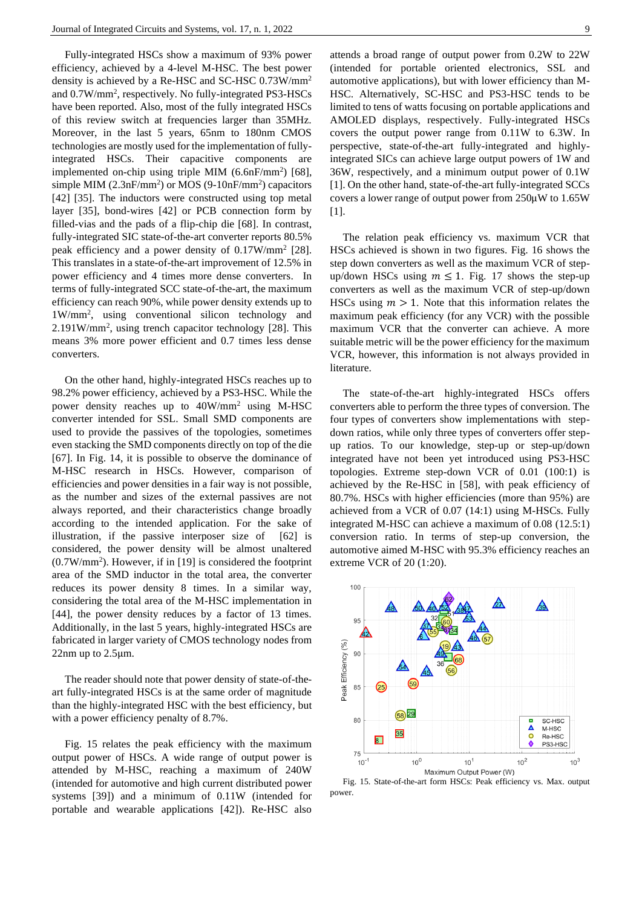Fully-integrated HSCs show a maximum of 93% power efficiency, achieved by a 4-level M-HSC. The best power density is achieved by a Re-HSC and SC-HSC 0.73W/mm<sup>2</sup> and 0.7W/mm<sup>2</sup> , respectively. No fully-integrated PS3-HSCs have been reported. Also, most of the fully integrated HSCs of this review switch at frequencies larger than 35MHz. Moreover, in the last 5 years, 65nm to 180nm CMOS technologies are mostly used for the implementation of fullyintegrated HSCs. Their capacitive components are implemented on-chip using triple MIM  $(6.6nF/mm^2)$  [68], simple MIM (2.3nF/mm<sup>2</sup>) or MOS (9-10nF/mm<sup>2</sup>) capacitors [42] [35]. The inductors were constructed using top metal layer [35], bond-wires [42] or PCB connection form by filled-vias and the pads of a flip-chip die [68]. In contrast, fully-integrated SIC state-of-the-art converter reports 80.5% peak efficiency and a power density of 0.17W/mm<sup>2</sup> [28]. This translates in a state-of-the-art improvement of 12.5% in power efficiency and 4 times more dense converters. In terms of fully-integrated SCC state-of-the-art, the maximum efficiency can reach 90%, while power density extends up to 1W/mm<sup>2</sup> , using conventional silicon technology and 2.191W/mm<sup>2</sup> , using trench capacitor technology [28]. This means 3% more power efficient and 0.7 times less dense converters.

On the other hand, highly-integrated HSCs reaches up to 98.2% power efficiency, achieved by a PS3-HSC. While the power density reaches up to 40W/mm<sup>2</sup> using M-HSC converter intended for SSL. Small SMD components are used to provide the passives of the topologies, sometimes even stacking the SMD components directly on top of the die [67]. In [Fig. 14,](#page-7-0) it is possible to observe the dominance of M-HSC research in HSCs. However, comparison of efficiencies and power densities in a fair way is not possible, as the number and sizes of the external passives are not always reported, and their characteristics change broadly according to the intended application. For the sake of illustration, if the passive interposer size of [62] is considered, the power density will be almost unaltered  $(0.7W/mm<sup>2</sup>)$ . However, if in [19] is considered the footprint area of the SMD inductor in the total area, the converter reduces its power density 8 times. In a similar way, considering the total area of the M-HSC implementation in [44], the power density reduces by a factor of 13 times. Additionally, in the last 5 years, highly-integrated HSCs are fabricated in larger variety of CMOS technology nodes from 22nm up to 2.5μm.

The reader should note that power density of state-of-theart fully-integrated HSCs is at the same order of magnitude than the highly-integrated HSC with the best efficiency, but with a power efficiency penalty of 8.7%.

[Fig. 15](#page-8-0) relates the peak efficiency with the maximum output power of HSCs. A wide range of output power is attended by M-HSC, reaching a maximum of 240W (intended for automotive and high current distributed power systems [39]) and a minimum of 0.11W (intended for portable and wearable applications [42]). Re-HSC also

attends a broad range of output power from 0.2W to 22W (intended for portable oriented electronics, SSL and automotive applications), but with lower efficiency than M-HSC. Alternatively, SC-HSC and PS3-HSC tends to be limited to tens of watts focusing on portable applications and AMOLED displays, respectively. Fully-integrated HSCs covers the output power range from 0.11W to 6.3W. In perspective, state-of-the-art fully-integrated and highlyintegrated SICs can achieve large output powers of 1W and 36W, respectively, and a minimum output power of 0.1W [1]. On the other hand, state-of-the-art fully-integrated SCCs covers a lower range of output power from 250μW to 1.65W [1].

The relation peak efficiency vs. maximum VCR that HSCs achieved is shown in two figures. [Fig. 16](#page-9-0) shows the step down converters as well as the maximum VCR of stepup/down HSCs using  $m \le 1$ . [Fig. 17](#page-9-1) shows the step-up converters as well as the maximum VCR of step-up/down HSCs using  $m > 1$ . Note that this information relates the maximum peak efficiency (for any VCR) with the possible maximum VCR that the converter can achieve. A more suitable metric will be the power efficiency for the maximum VCR, however, this information is not always provided in literature.

The state-of-the-art highly-integrated HSCs offers converters able to perform the three types of conversion. The four types of converters show implementations with stepdown ratios, while only three types of converters offer stepup ratios. To our knowledge, step-up or step-up/down integrated have not been yet introduced using PS3-HSC topologies. Extreme step-down VCR of 0.01 (100:1) is achieved by the Re-HSC in [58], with peak efficiency of 80.7%. HSCs with higher efficiencies (more than 95%) are achieved from a VCR of 0.07 (14:1) using M-HSCs. Fully integrated M-HSC can achieve a maximum of 0.08 (12.5:1) conversion ratio. In terms of step-up conversion, the automotive aimed M-HSC with 95.3% efficiency reaches an extreme VCR of 20 (1:20).



<span id="page-8-0"></span>Fig. 15. State-of-the-art form HSCs: Peak efficiency vs. Max. output power.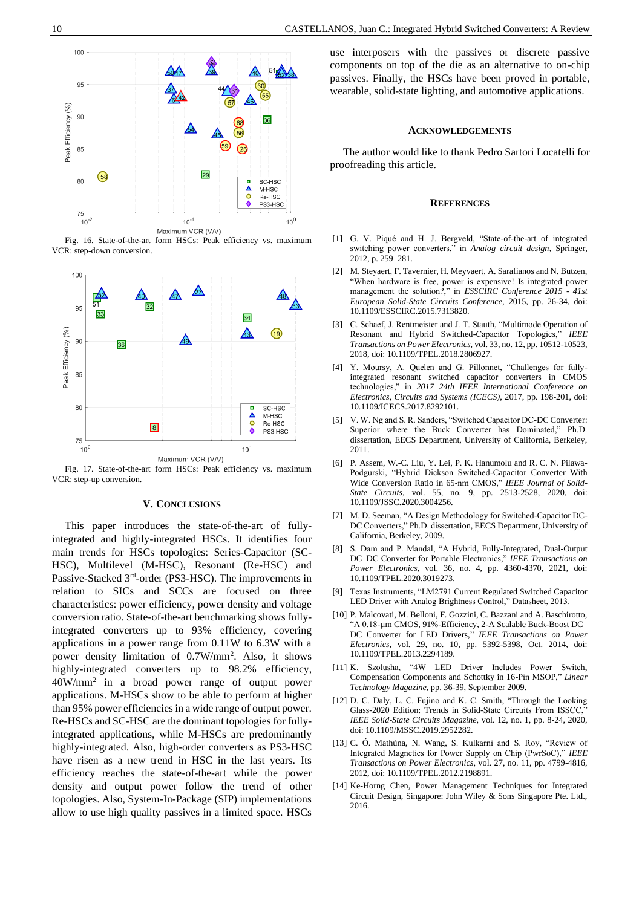

<span id="page-9-0"></span>Fig. 16. State-of-the-art form HSCs: Peak efficiency vs. maximum VCR: step-down conversion.



<span id="page-9-1"></span>Fig. 17. State-of-the-art form HSCs: Peak efficiency vs. maximum VCR: step-up conversion.

#### **V. CONCLUSIONS**

This paper introduces the state-of-the-art of fullyintegrated and highly-integrated HSCs. It identifies four main trends for HSCs topologies: Series-Capacitor (SC-HSC), Multilevel (M-HSC), Resonant (Re-HSC) and Passive-Stacked 3<sup>rd</sup>-order (PS3-HSC). The improvements in relation to SICs and SCCs are focused on three characteristics: power efficiency, power density and voltage conversion ratio. State-of-the-art benchmarking shows fullyintegrated converters up to 93% efficiency, covering applications in a power range from 0.11W to 6.3W with a power density limitation of 0.7W/mm<sup>2</sup> . Also, it shows highly-integrated converters up to 98.2% efficiency, 40W/mm<sup>2</sup> in a broad power range of output power applications. M-HSCs show to be able to perform at higher than 95% power efficiencies in a wide range of output power. Re-HSCs and SC-HSC are the dominant topologies for fullyintegrated applications, while M-HSCs are predominantly highly-integrated. Also, high-order converters as PS3-HSC have risen as a new trend in HSC in the last years. Its efficiency reaches the state-of-the-art while the power density and output power follow the trend of other topologies. Also, System-In-Package (SIP) implementations allow to use high quality passives in a limited space. HSCs

use interposers with the passives or discrete passive components on top of the die as an alternative to on-chip passives. Finally, the HSCs have been proved in portable, wearable, solid-state lighting, and automotive applications.

#### **ACKNOWLEDGEMENTS**

The author would like to thank Pedro Sartori Locatelli for proofreading this article.

#### **REFERENCES**

- [1] G. V. Piqué and H. J. Bergveld, "State-of-the-art of integrated switching power converters," in *Analog circuit design*, Springer, 2012, p. 259–281.
- [2] M. Steyaert, F. Tavernier, H. Meyvaert, A. Sarafianos and N. Butzen, "When hardware is free, power is expensive! Is integrated power management the solution?," in *ESSCIRC Conference 2015 - 41st European Solid-State Circuits Conference*, 2015, pp. 26-34, doi: 10.1109/ESSCIRC.2015.7313820.
- [3] C. Schaef, J. Rentmeister and J. T. Stauth, "Multimode Operation of Resonant and Hybrid Switched-Capacitor Topologies," *IEEE Transactions on Power Electronics,* vol. 33, no. 12, pp. 10512-10523, 2018, doi: 10.1109/TPEL.2018.2806927.
- [4] Y. Moursy, A. Quelen and G. Pillonnet, "Challenges for fullyintegrated resonant switched capacitor converters in CMOS technologies," in *2017 24th IEEE International Conference on Electronics, Circuits and Systems (ICECS)*, 2017, pp. 198-201, doi: 10.1109/ICECS.2017.8292101.
- [5] V. W. Ng and S. R. Sanders, "Switched Capacitor DC-DC Converter: Superior where the Buck Converter has Dominated," Ph.D. dissertation, EECS Department, University of California, Berkeley, 2011.
- [6] P. Assem, W.-C. Liu, Y. Lei, P. K. Hanumolu and R. C. N. Pilawa-Podgurski, "Hybrid Dickson Switched-Capacitor Converter With Wide Conversion Ratio in 65-nm CMOS," *IEEE Journal of Solid-State Circuits,* vol. 55, no. 9, pp. 2513-2528, 2020, doi: 10.1109/JSSC.2020.3004256.
- [7] M. D. Seeman, "A Design Methodology for Switched-Capacitor DC-DC Converters," Ph.D. dissertation, EECS Department, University of California, Berkeley, 2009.
- [8] S. Dam and P. Mandal, "A Hybrid, Fully-Integrated, Dual-Output DC–DC Converter for Portable Electronics," *IEEE Transactions on Power Electronics,* vol. 36, no. 4, pp. 4360-4370, 2021, doi: 10.1109/TPEL.2020.3019273.
- [9] Texas Instruments, "LM2791 Current Regulated Switched Capacitor LED Driver with Analog Brightness Control," Datasheet, 2013.
- [10] P. Malcovati, M. Belloni, F. Gozzini, C. Bazzani and A. Baschirotto, "A 0.18-µm CMOS, 91%-Efficiency, 2-A Scalable Buck-Boost DC– DC Converter for LED Drivers," *IEEE Transactions on Power Electronics,* vol. 29, no. 10, pp. 5392-5398, Oct. 2014, doi: 10.1109/TPEL.2013.2294189.
- [11] K. Szolusha, "4W LED Driver Includes Power Switch, Compensation Components and Schottky in 16-Pin MSOP," *Linear Technology Magazine,* pp. 36-39, September 2009.
- [12] D. C. Daly, L. C. Fujino and K. C. Smith, "Through the Looking Glass-2020 Edition: Trends in Solid-State Circuits From ISSCC, *IEEE Solid-State Circuits Magazine,* vol. 12, no. 1, pp. 8-24, 2020, doi: 10.1109/MSSC.2019.2952282.
- [13] C. Ó. Mathúna, N. Wang, S. Kulkarni and S. Roy, "Review of Integrated Magnetics for Power Supply on Chip (PwrSoC)," *IEEE Transactions on Power Electronics,* vol. 27, no. 11, pp. 4799-4816, 2012, doi: 10.1109/TPEL.2012.2198891.
- [14] Ke-Horng Chen, Power Management Techniques for Integrated Circuit Design, Singapore: John Wiley & Sons Singapore Pte. Ltd., 2016.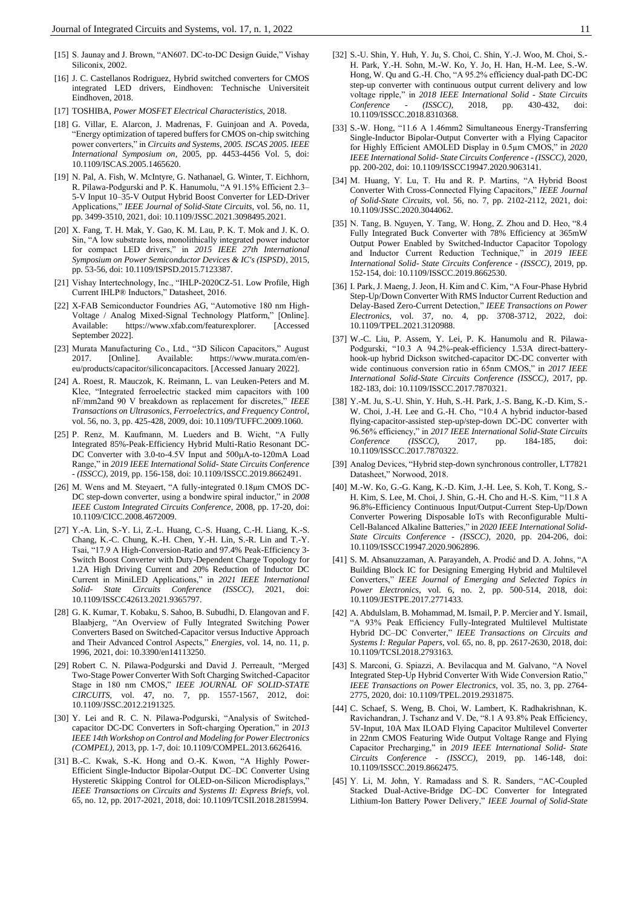- [15] S. Jaunay and J. Brown, "AN607. DC-to-DC Design Guide," Vishay Siliconix, 2002.
- [16] J. C. Castellanos Rodriguez, Hybrid switched converters for CMOS integrated LED drivers, Eindhoven: Technische Universiteit Eindhoven, 2018.
- [17] TOSHIBA, *Power MOSFET Electrical Characteristics,* 2018.
- [18] G. Villar, E. Alarcon, J. Madrenas, F. Guinjoan and A. Poveda, "Energy optimization of tapered buffers for CMOS on-chip switching power converters," in *Circuits and Systems, 2005. ISCAS 2005. IEEE International Symposium on*, 2005, pp. 4453-4456 Vol. 5, doi: 10.1109/ISCAS.2005.1465620.
- [19] N. Pal, A. Fish, W. McIntyre, G. Nathanael, G. Winter, T. Eichhorn, R. Pilawa-Podgurski and P. K. Hanumolu, "A 91.15% Efficient 2.3– 5-V Input 10–35-V Output Hybrid Boost Converter for LED-Driver Applications," *IEEE Journal of Solid-State Circuits,* vol. 56, no. 11, pp. 3499-3510, 2021, doi: 10.1109/JSSC.2021.3098495.2021.
- [20] X. Fang, T. H. Mak, Y. Gao, K. M. Lau, P. K. T. Mok and J. K. O. Sin, "A low substrate loss, monolithically integrated power inductor for compact LED drivers," in *2015 IEEE 27th International Symposium on Power Semiconductor Devices & IC's (ISPSD)*, 2015, pp. 53-56, doi: 10.1109/ISPSD.2015.7123387.
- [21] Vishay Intertechnology, Inc., "IHLP-2020CZ-51. Low Profile, High Current IHLP® Inductors," Datasheet, 2016.
- [22] X-FAB Semiconductor Foundries AG, "Automotive 180 nm High-Voltage / Analog Mixed-Signal Technology Platform," [Online]. Available: https://www.xfab.com/featurexplorer. [Accessed September 2022].
- [23] Murata Manufacturing Co., Ltd., "3D Silicon Capacitors," August https://www.murata.com/eneu/products/capacitor/siliconcapacitors. [Accessed January 2022].
- [24] A. Roest, R. Mauczok, K. Reimann, L. van Leuken-Peters and M. Klee, "Integrated ferroelectric stacked mim capacitors with 100 nF/mm2and 90 V breakdown as replacement for discretes," *IEEE Transactions on Ultrasonics, Ferroelectrics, and Frequency Control,*  vol. 56, no. 3, pp. 425-428, 2009, doi: 10.1109/TUFFC.2009.1060.
- [25] P. Renz, M. Kaufmann, M. Lueders and B. Wicht, "A Fully Integrated 85%-Peak-Efficiency Hybrid Multi-Ratio Resonant DC-DC Converter with 3.0-to-4.5V Input and 500μA-to-120mA Load Range," in *2019 IEEE International Solid- State Circuits Conference - (ISSCC)*, 2019, pp. 156-158, doi: 10.1109/ISSCC.2019.8662491.
- [26] M. Wens and M. Steyaert, "A fully-integrated 0.18μm CMOS DC-DC step-down converter, using a bondwire spiral inductor," in *2008 IEEE Custom Integrated Circuits Conference*, 2008, pp. 17-20, doi: 10.1109/CICC.2008.4672009.
- [27] Y.-A. Lin, S.-Y. Li, Z.-L. Huang, C.-S. Huang, C.-H. Liang, K.-S. Chang, K.-C. Chung, K.-H. Chen, Y.-H. Lin, S.-R. Lin and T.-Y. Tsai, "17.9 A High-Conversion-Ratio and 97.4% Peak-Efficiency 3- Switch Boost Converter with Duty-Dependent Charge Topology for 1.2A High Driving Current and 20% Reduction of Inductor DC Current in MiniLED Applications," in *2021 IEEE International Solid- State Circuits Conference (ISSCC)*, 2021, doi: 10.1109/ISSCC42613.2021.9365797.
- [28] G. K. Kumar, T. Kobaku, S. Sahoo, B. Subudhi, D. Elangovan and F. Blaabjerg, "An Overview of Fully Integrated Switching Power Converters Based on Switched-Capacitor versus Inductive Approach and Their Advanced Control Aspects," *Energies,* vol. 14, no. 11, p. 1996, 2021, doi: 10.3390/en14113250.
- [29] Robert C. N. Pilawa-Podgurski and David J. Perreault, "Merged Two-Stage Power Converter With Soft Charging Switched-Capacitor Stage in 180 nm CMOS," *IEEE JOURNAL OF SOLID-STATE CIRCUITS,* vol. 47, no. 7, pp. 1557-1567, 2012, doi: 10.1109/JSSC.2012.2191325.
- [30] Y. Lei and R. C. N. Pilawa-Podgurski, "Analysis of Switchedcapacitor DC-DC Converters in Soft-charging Operation," in *2013 IEEE 14th Workshop on Control and Modeling for Power Electronics (COMPEL)*, 2013, pp. 1-7, doi: 10.1109/COMPEL.2013.6626416.
- [31] B.-C. Kwak, S.-K. Hong and O.-K. Kwon, "A Highly Power-Efficient Single-Inductor Bipolar-Output DC–DC Converter Using Hysteretic Skipping Control for OLED-on-Silicon Microdisplays," *IEEE Transactions on Circuits and Systems II: Express Briefs,* vol. 65, no. 12, pp. 2017-2021, 2018, doi: 10.1109/TCSII.2018.2815994.
- [32] S.-U. Shin, Y. Huh, Y. Ju, S. Choi, C. Shin, Y.-J. Woo, M. Choi, S.- H. Park, Y.-H. Sohn, M.-W. Ko, Y. Jo, H. Han, H.-M. Lee, S.-W. Hong, W. Qu and G.-H. Cho, "A 95.2% efficiency dual-path DC-DC step-up converter with continuous output current delivery and low voltage ripple," in *2018 IEEE International Solid - State Circuits Conference - (ISSCC)*, 2018, pp. 430-432, doi: 10.1109/ISSCC.2018.8310368.
- [33] S.-W. Hong, "11.6 A 1.46mm2 Simultaneous Energy-Transferring Single-Inductor Bipolar-Output Converter with a Flying Capacitor for Highly Efficient AMOLED Display in 0.5µm CMOS," in *2020 IEEE International Solid- State Circuits Conference - (ISSCC)*, 2020, pp. 200-202, doi: 10.1109/ISSCC19947.2020.9063141.
- [34] M. Huang, Y. Lu, T. Hu and R. P. Martins, "A Hybrid Boost Converter With Cross-Connected Flying Capacitors," *IEEE Journal of Solid-State Circuits,* vol. 56, no. 7, pp. 2102-2112, 2021, doi: 10.1109/JSSC.2020.3044062.
- [35] N. Tang, B. Nguyen, Y. Tang, W. Hong, Z. Zhou and D. Heo, "8.4 Fully Integrated Buck Converter with 78% Efficiency at 365mW Output Power Enabled by Switched-Inductor Capacitor Topology and Inductor Current Reduction Technique," in *2019 IEEE International Solid- State Circuits Conference - (ISSCC)*, 2019, pp. 152-154, doi: 10.1109/ISSCC.2019.8662530.
- [36] I. Park, J. Maeng, J. Jeon, H. Kim and C. Kim, "A Four-Phase Hybrid Step-Up/Down Converter With RMS Inductor Current Reduction and Delay-Based Zero-Current Detection," *IEEE Transactions on Power Electronics,* vol. 37, no. 4, pp. 3708-3712, 2022, doi: 10.1109/TPEL.2021.3120988.
- [37] W.-C. Liu, P. Assem, Y. Lei, P. K. Hanumolu and R. Pilawa-Podgurski, "10.3 A 94.2%-peak-efficiency 1.53A direct-batteryhook-up hybrid Dickson switched-capacitor DC-DC converter with wide continuous conversion ratio in 65nm CMOS," in *2017 IEEE International Solid-State Circuits Conference (ISSCC)*, 2017, pp. 182-183, doi: 10.1109/ISSCC.2017.7870321.
- [38] Y.-M. Ju, S.-U. Shin, Y. Huh, S.-H. Park, J.-S. Bang, K.-D. Kim, S.- W. Choi, J.-H. Lee and G.-H. Cho, "10.4 A hybrid inductor-based flying-capacitor-assisted step-up/step-down DC-DC converter with 96.56% efficiency," in *2017 IEEE International Solid-State Circuits Conference (ISSCC)*, 2017, pp. 10.1109/ISSCC.2017.7870322.
- [39] Analog Devices, "Hybrid step-down synchronous controller, LT7821 Datasheet," Norwood, 2018.
- [40] M.-W. Ko, G.-G. Kang, K.-D. Kim, J.-H. Lee, S. Koh, T. Kong, S.- H. Kim, S. Lee, M. Choi, J. Shin, G.-H. Cho and H.-S. Kim, "11.8 A 96.8%-Efficiency Continuous Input/Output-Current Step-Up/Down Converter Powering Disposable IoTs with Reconfigurable Multi-Cell-Balanced Alkaline Batteries," in *2020 IEEE International Solid-State Circuits Conference - (ISSCC)*, 2020, pp. 204-206, doi: 10.1109/ISSCC19947.2020.9062896.
- [41] S. M. Ahsanuzzaman, A. Parayandeh, A. Prodić and D. A. Johns, "A Building Block IC for Designing Emerging Hybrid and Multilevel Converters," *IEEE Journal of Emerging and Selected Topics in Power Electronics,* vol. 6, no. 2, pp. 500-514, 2018, doi: 10.1109/JESTPE.2017.2771433.
- [42] A. Abdulslam, B. Mohammad, M. Ismail, P. P. Mercier and Y. Ismail, "A 93% Peak Efficiency Fully-Integrated Multilevel Multistate Hybrid DC–DC Converter," *IEEE Transactions on Circuits and Systems I: Regular Papers,* vol. 65, no. 8, pp. 2617-2630, 2018, doi: 10.1109/TCSI.2018.2793163.
- [43] S. Marconi, G. Spiazzi, A. Bevilacqua and M. Galvano, "A Novel Integrated Step-Up Hybrid Converter With Wide Conversion Ratio," *IEEE Transactions on Power Electronics,* vol. 35, no. 3, pp. 2764- 2775, 2020, doi: 10.1109/TPEL.2019.2931875.
- [44] C. Schaef, S. Weng, B. Choi, W. Lambert, K. Radhakrishnan, K. Ravichandran, J. Tschanz and V. De, "8.1 A 93.8% Peak Efficiency, 5V-Input, 10A Max ILOAD Flying Capacitor Multilevel Converter in 22nm CMOS Featuring Wide Output Voltage Range and Flying Capacitor Precharging," in *2019 IEEE International Solid- State Circuits Conference - (ISSCC)*, 2019, pp. 146-148, doi: 10.1109/ISSCC.2019.8662475.
- [45] Y. Li, M. John, Y. Ramadass and S. R. Sanders, "AC-Coupled Stacked Dual-Active-Bridge DC–DC Converter for Integrated Lithium-Ion Battery Power Delivery," *IEEE Journal of Solid-State*